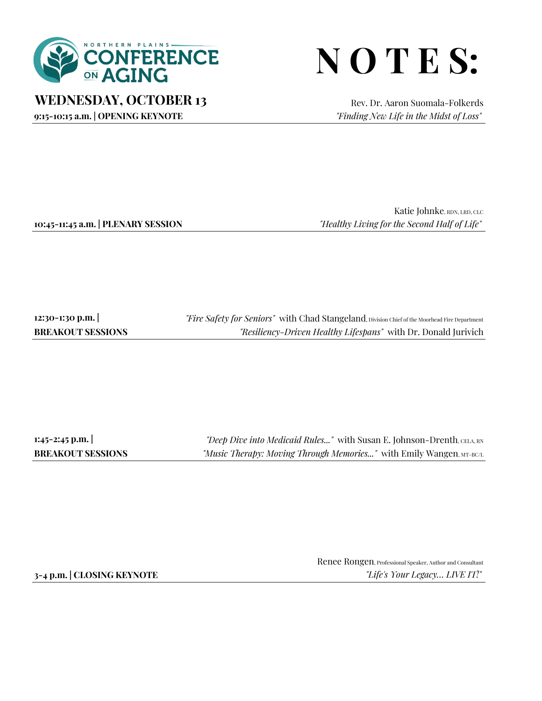

## **N O T E S:**

**WEDNESDAY, OCTOBER 13** Rev. Dr. Aaron Suomala-Folkerds

**9:15-10:15 a.m. | OPENING KEYNOTE** *"Finding New Life in the Midst of Loss"*

Katie Johnke, RDN, LRD, CLC **10:45-11:45 a.m. | PLENARY SESSION** *"Healthy Living for the Second Half of Life"*

**12:30-1:30 p.m. | BREAKOUT SESSIONS** *"Fire Safety for Seniors"* with Chad Stangeland, Division Chief of the Moorhead Fire Department *"Resiliency-Driven Healthy Lifespans"* with Dr. Donald Jurivich

**1:45-2:45 p.m. | BREAKOUT SESSIONS**

*"Deep Dive into Medicaid Rules..."* with Susan E. Johnson-Drenth, CELA, RN *"Music Therapy: Moving Through Memories..."* with Emily Wangen, MT-BC/L

Renee Rongen, Professional Speaker, Author and Consultant **3-4 p.m. | CLOSING KEYNOTE** *"Life's Your Legacy… LIVE IT!"*